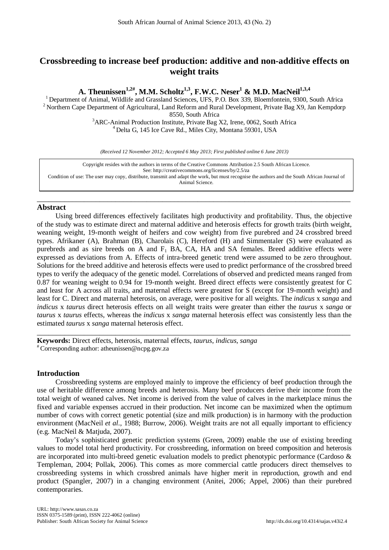# **Crossbreeding to increase beef production: additive and non-additive effects on weight traits**

**A. Theunissen1,2# , M.M. Scholtz1,3, F.W.C. Neser1 & M.D. MacNeil1,3,4**

<sup>1</sup> Department of Animal, Wildlife and Grassland Sciences, UFS, P.O. Box 339, Bloemfontein, 9300, South Africa  $^{2}$  Northern Cape Department of Agricultural, Land Reform and Rural Development, Private Bag X9, Jan Kempdor

 $8550$ , South Africa<br> $3\triangle P$ C Animal Production Institute Private Bag ARC-Animal Production Institute, Private Bag X2, Irene, 0062, South Africa<br><sup>4</sup> Delta G, 145 Ice Cave Rd., Miles City, Montana 59301, USA

*(Received 12 November 2012; Accepted 6 May 2013; First published online 6 June 2013)*

Copyright resides with the authors in terms of the Creative Commons Attribution 2.5 South African Licence. See[: http://creativecommons.org/licenses/by/2.5/za](http://creativecommons.org/licenses/by/2.5/za) Condition of use: The user may copy, distribute, transmit and adapt the work, but must recognise the authors and the South African Journal of Animal Science.

\_\_\_\_\_\_\_\_\_\_\_\_\_\_\_\_\_\_\_\_\_\_\_\_\_\_\_\_\_\_\_\_\_\_\_\_\_\_\_\_\_\_\_\_\_\_\_\_\_\_\_\_\_\_\_\_\_\_\_\_\_\_\_\_\_\_\_\_\_\_\_\_\_\_\_\_\_\_\_\_

# **Abstract**

Using breed differences effectively facilitates high productivity and profitability. Thus, the objective of the study was to estimate direct and maternal additive and heterosis effects for growth traits (birth weight, weaning weight, 19-month weight of heifers and cow weight) from five purebred and 24 crossbred breed types. Afrikaner (A), Brahman (B), Charolais (C), Hereford (H) and Simmentaler (S) were evaluated as purebreds and as sire breeds on A and  $F_1$  BA, CA, HA and SA females. Breed additive effects were expressed as deviations from A. Effects of intra-breed genetic trend were assumed to be zero throughout. Solutions for the breed additive and heterosis effects were used to predict performance of the crossbred breed types to verify the adequacy of the genetic model. Correlations of observed and predicted means ranged from 0.87 for weaning weight to 0.94 for 19-month weight. Breed direct effects were consistently greatest for C and least for A across all traits, and maternal effects were greatest for S (except for 19-month weight) and least for C. Direct and maternal heterosis, on average, were positive for all weights. The *indicus* x *sanga* and *indicus* x *taurus* direct heterosis effects on all weight traits were greater than either the *taurus* x *sanga* or *taurus* x *taurus* effects, whereas the *indicus* x *sanga* maternal heterosis effect was consistently less than the estimated *taurus* x *sanga* maternal heterosis effect.

\_\_\_\_\_\_\_\_\_\_\_\_\_\_\_\_\_\_\_\_\_\_\_\_\_\_\_\_\_\_\_\_\_\_\_\_\_\_\_\_\_\_\_\_\_\_\_\_\_\_\_\_\_\_\_\_\_\_\_\_\_\_\_\_\_\_\_\_\_\_\_\_\_\_\_\_\_\_\_\_

**Keywords:** Direct effects, heterosis, maternal effects, *taurus*, *indicus*, *sanga* # Corresponding author: atheunissen@ncpg.gov.za

## **Introduction**

Crossbreeding systems are employed mainly to improve the efficiency of beef production through the use of heritable difference among breeds and heterosis. Many beef producers derive their income from the total weight of weaned calves. Net income is derived from the value of calves in the marketplace minus the fixed and variable expenses accrued in their production. Net income can be maximized when the optimum number of cows with correct genetic potential (size and milk production) is in harmony with the production environment (MacNeil *et al*., 1988; Burrow, 2006). Weight traits are not all equally important to efficiency (e.g. MacNeil & Matjuda, 2007).

Today's sophisticated genetic prediction systems (Green, 2009) enable the use of existing breeding values to model total herd productivity. For crossbreeding, information on breed composition and heterosis are incorporated into multi-breed genetic evaluation models to predict phenotypic performance (Cardoso & Templeman, 2004; Pollak, 2006). This comes as more commercial cattle producers direct themselves to crossbreeding systems in which crossbred animals have higher merit in reproduction, growth and end product (Spangler, 2007) in a changing environment (Anitei, 2006; Appel, 2006) than their purebred contemporaries.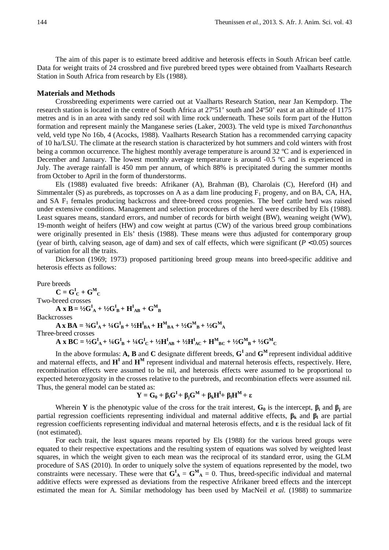The aim of this paper is to estimate breed additive and heterosis effects in South African beef cattle. Data for weight traits of 24 crossbred and five purebred breed types were obtained from Vaalharts Research Station in South Africa from research by Els (1988).

### **Materials and Methods**

Crossbreeding experiments were carried out at Vaalharts Research Station, near Jan Kempdorp. The research station is located in the centre of South Africa at 27º51' south and 24º50' east at an altitude of 1175 metres and is in an area with sandy red soil with lime rock underneath. These soils form part of the Hutton formation and represent mainly the Manganese series (Laker, 2003). The veld type is mixed *Tarchonanthus* veld, veld type No 16b, 4 (Acocks, 1988). Vaalharts Research Station has a recommended carrying capacity of 10 ha/LSU. The climate at the research station is characterized by hot summers and cold winters with frost being a common occurrence. The highest monthly average temperature is around 32 ºC and is experienced in December and January. The lowest monthly average temperature is around -0.5 ºC and is experienced in July. The average rainfall is 450 mm per annum, of which 88% is precipitated during the summer months from October to April in the form of thunderstorms.

Els (1988) evaluated five breeds: Afrikaner (A), Brahman (B), Charolais (C), Hereford (H) and Simmentaler (S) as purebreds, as topcrosses on A as a dam line producing  $F_1$  progeny, and on BA, CA, HA, and SA F1 females producing backcross and three-breed cross progenies. The beef cattle herd was raised under extensive conditions. Management and selection procedures of the herd were described by Els (1988). Least squares means, standard errors, and number of records for birth weight (BW), weaning weight (WW), 19-month weight of heifers (HW) and cow weight at partus (CW) of the various breed group combinations were originally presented in Els' thesis (1988). These means were thus adjusted for contemporary group (year of birth, calving season, age of dam) and sex of calf effects, which were significant  $(P < 0.05)$  sources of variation for all the traits.

Dickerson (1969; 1973) proposed partitioning breed group means into breed-specific additive and heterosis effects as follows:

Pure breeds

 $C = G^I_C + G^M_C$ Two-breed crosses  $\mathbf{A} \times \mathbf{B} = \frac{1}{2} \mathbf{G}_{\mathbf{A}}^{\mathbf{I}} + \frac{1}{2} \mathbf{G}_{\mathbf{B}}^{\mathbf{I}} + \mathbf{H}_{\mathbf{A}\mathbf{B}}^{\mathbf{I}} + \mathbf{G}_{\mathbf{B}}^{\mathbf{M}}$ **Backcrosses**  $\mathbf{A} \times \mathbf{B} \mathbf{A} = \frac{3}{4} \mathbf{G}_{\mathbf{A}}^{\mathbf{I}} + \frac{1}{4} \mathbf{G}_{\mathbf{B}}^{\mathbf{I}} + \frac{1}{2} \mathbf{H}_{\mathbf{B}\mathbf{A}}^{\mathbf{I}} + \mathbf{H}_{\mathbf{B}\mathbf{A}}^{\mathbf{M}} + \frac{1}{2} \mathbf{G}_{\mathbf{B}}^{\mathbf{M}} + \frac{1}{2} \mathbf{G}_{\mathbf{A}}^{\mathbf{M}}$ Three-breed crosses **A x** BC =  $\frac{1}{2}G_{A}^{I} + \frac{1}{4}G_{B}^{I} + \frac{1}{4}G_{C}^{I} + \frac{1}{2}H_{AB}^{I} + \frac{1}{2}H_{AC}^{I} + H_{BC}^{M} + \frac{1}{2}G_{B}^{M} + \frac{1}{2}G_{C}^{M}$ 

In the above formulas: **A, B** and **C** designate different breeds, **G<sup>I</sup>** and **G<sup>M</sup>** represent individual additive and maternal effects, and  $H^I$  and  $H^M$  represent individual and maternal heterosis effects, respectively. Here, recombination effects were assumed to be nil, and heterosis effects were assumed to be proportional to expected heterozygosity in the crosses relative to the purebreds, and recombination effects were assumed nil. Thus, the general model can be stated as:

$$
Y = G_0 + \beta_i G^I + \beta_j G^M + \beta_k H^I + \beta_l H^M + \epsilon
$$

Wherein **Y** is the phenotypic value of the cross for the trait interest,  $\mathbf{G}_0$  is the intercept,  $\beta_i$  and  $\beta_i$  are partial regression coefficients representing individual and maternal additive effects,  $\beta_k$  and  $\beta_l$  are partial regression coefficients representing individual and maternal heterosis effects, and **ε** is the residual lack of fit (not estimated).

For each trait, the least squares means reported by Els (1988) for the various breed groups were equated to their respective expectations and the resulting system of equations was solved by weighted least squares, in which the weight given to each mean was the reciprocal of its standard error, using the GLM procedure of SAS (2010). In order to uniquely solve the system of equations represented by the model, two constraints were necessary. These were that  $G_A^I = G_A^M = 0$ . Thus, breed-specific individual and maternal additive effects were expressed as deviations from the respective Afrikaner breed effects and the intercept estimated the mean for A. Similar methodology has been used by MacNeil *et al.* (1988) to summarize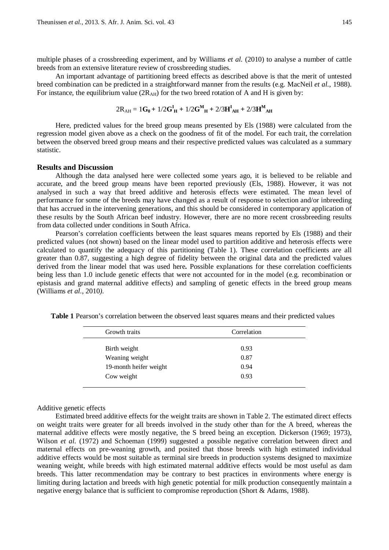multiple phases of a crossbreeding experiment, and by Williams *et al.* (2010) to analyse a number of cattle breeds from an extensive literature review of crossbreeding studies.

An important advantage of partitioning breed effects as described above is that the merit of untested breed combination can be predicted in a straightforward manner from the results (e.g. MacNeil *et al.*, 1988). For instance, the equilibrium value  $(2R_{AH})$  for the two breed rotation of A and H is given by:

$$
2R_{\text{AH}} = 1G_0 + 1/2G_{\text{H}}^{\text{I}} + 1/2G_{\text{H}}^{\text{M}} + 2/3H_{\text{AH}}^{\text{I}} + 2/3H_{\text{AH}}^{\text{M}}
$$

Here, predicted values for the breed group means presented by Els (1988) were calculated from the regression model given above as a check on the goodness of fit of the model. For each trait, the correlation between the observed breed group means and their respective predicted values was calculated as a summary statistic.

### **Results and Discussion**

Although the data analysed here were collected some years ago, it is believed to be reliable and accurate, and the breed group means have been reported previously (Els, 1988). However, it was not analysed in such a way that breed additive and heterosis effects were estimated. The mean level of performance for some of the breeds may have changed as a result of response to selection and/or inbreeding that has accrued in the intervening generations, and this should be considered in contemporary application of these results by the South African beef industry. However, there are no more recent crossbreeding results from data collected under conditions in South Africa.

Pearson's correlation coefficients between the least squares means reported by Els (1988) and their predicted values (not shown) based on the linear model used to partition additive and heterosis effects were calculated to quantify the adequacy of this partitioning (Table 1). These correlation coefficients are all greater than 0.87, suggesting a high degree of fidelity between the original data and the predicted values derived from the linear model that was used here**.** Possible explanations for these correlation coefficients being less than 1.0 include genetic effects that were not accounted for in the model (e.g. recombination or epistasis and grand maternal additive effects) and sampling of genetic effects in the breed group means (Williams *et al.*, 2010*).*

| Growth traits          | Correlation |  |  |
|------------------------|-------------|--|--|
| Birth weight           | 0.93        |  |  |
| Weaning weight         | 0.87        |  |  |
| 19-month heifer weight | 0.94        |  |  |
| Cow weight             | 0.93        |  |  |
|                        |             |  |  |

**Table 1** Pearson's correlation between the observed least squares means and their predicted values

### Additive genetic effects

Estimated breed additive effects for the weight traits are shown in Table 2. The estimated direct effects on weight traits were greater for all breeds involved in the study other than for the A breed, whereas the maternal additive effects were mostly negative, the S breed being an exception. Dickerson (1969; 1973), Wilson *et al.* (1972) and Schoeman (1999) suggested a possible negative correlation between direct and maternal effects on pre-weaning growth, and posited that those breeds with high estimated individual additive effects would be most suitable as terminal sire breeds in production systems designed to maximize weaning weight, while breeds with high estimated maternal additive effects would be most useful as dam breeds. This latter recommendation may be contrary to best practices in environments where energy is limiting during lactation and breeds with high genetic potential for milk production consequently maintain a negative energy balance that is sufficient to compromise reproduction (Short & Adams, 1988).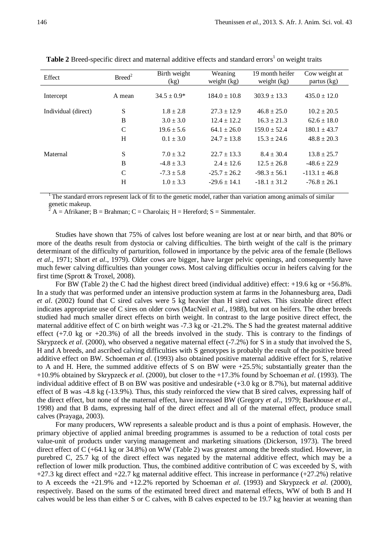| Effect              | Breed <sup>2</sup> | Birth weight<br>(kg) | Weaning<br>weight (kg) | 19 month heifer<br>weight $(kg)$ | Cow weight at<br>partus (kg) |
|---------------------|--------------------|----------------------|------------------------|----------------------------------|------------------------------|
| Intercept           | A mean             | $34.5 \pm 0.9*$      | $184.0 \pm 10.8$       | $303.9 \pm 13.3$                 | $435.0 \pm 12.0$             |
| Individual (direct) | S                  | $1.8 \pm 2.8$        | $27.3 \pm 12.9$        | $46.8 \pm 25.0$                  | $10.2 \pm 20.5$              |
|                     | B                  | $3.0 \pm 3.0$        | $12.4 \pm 12.2$        | $16.3 \pm 21.3$                  | $62.6 \pm 18.0$              |
|                     | $\mathcal{C}$      | $19.6 \pm 5.6$       | $64.1 \pm 26.0$        | $159.0 \pm 52.4$                 | $180.1 \pm 43.7$             |
|                     | H                  | $0.1 \pm 3.0$        | $24.7 \pm 13.8$        | $15.3 \pm 24.6$                  | $48.8 \pm 20.3$              |
| Maternal            | S                  | $7.0 \pm 3.2$        | $22.7 \pm 13.3$        | $8.4 \pm 30.4$                   | $13.8 \pm 25.7$              |
|                     | B                  | $-4.8 \pm 3.3$       | $2.4 \pm 12.6$         | $12.5 \pm 26.8$                  | $-48.6 \pm 22.9$             |
|                     | C                  | $-7.3 \pm 5.8$       | $-25.7 \pm 26.2$       | $-98.3 \pm 56.1$                 | $-113.1 \pm 46.8$            |
|                     | H                  | $1.0 \pm 3.3$        | $-29.6 \pm 14.1$       | $-18.1 \pm 31.2$                 | $-76.8 \pm 26.1$             |

**Table 2** Breed-specific direct and maternal additive effects and standard errors<sup>1</sup> on weight traits

<sup>1</sup> The standard errors represent lack of fit to the genetic model, rather than variation among animals of similar genetic makeup.

 $A =$  A frikaner; B = Brahman; C = Charolais; H = Hereford; S = Simmentaler.

Studies have shown that 75% of calves lost before weaning are lost at or near birth, and that 80% or more of the deaths result from dystocia or calving difficulties. The birth weight of the calf is the primary determinant of the difficulty of parturition, followed in importance by the pelvic area of the female (Bellows *et al*., 1971; Short *et al*., 1979). Older cows are bigger, have larger pelvic openings, and consequently have much fewer calving difficulties than younger cows. Most calving difficulties occur in heifers calving for the first time (Sprott & Troxel, 2008).

For BW (Table 2) the C had the highest direct breed (individual additive) effect:  $+19.6$  kg or  $+56.8\%$ . In a study that was performed under an intensive production system at farms in the Johannesburg area, Dadi *et al*. (2002) found that C sired calves were 5 kg heavier than H sired calves. This sizeable direct effect indicates appropriate use of C sires on older cows (MacNeil *et al.*, 1988), but not on heifers. The other breeds studied had much smaller direct effects on birth weight. In contrast to the large positive direct effect, the maternal additive effect of C on birth weight was -7.3 kg or -21.2%. The S had the greatest maternal additive effect  $(+7.0 \text{ kg or } +20.3\%)$  of all the breeds involved in the study. This is contrary to the findings of Skrypzeck *et al.* (2000), who observed a negative maternal effect (-7.2%) for S in a study that involved the S, H and A breeds, and ascribed calving difficulties with S genotypes is probably the result of the positive breed additive effect on BW. Schoeman *et al*. (1993) also obtained positive maternal additive effect for S, relative to A and H. Here, the summed additive effects of S on BW were +25.5%; substantially greater than the +10.9% obtained by Skrypzeck *et al*. (2000), but closer to the +17.3% found by Schoeman *et al*. (1993). The individual additive effect of B on BW was positive and undesirable (+3.0 kg or 8.7%), but maternal additive effect of B was -4.8 kg (-13.9%). Thus, this study reinforced the view that B sired calves, expressing half of the direct effect, but none of the maternal effect, have increased BW (Gregory *et al*., 1979; Barkhouse *et al*., 1998) and that B dams, expressing half of the direct effect and all of the maternal effect, produce small calves (Prayaga, 2003).

For many producers, WW represents a saleable product and is thus a point of emphasis. However, the primary objective of applied animal breeding programmes is assumed to be a reduction of total costs per value-unit of products under varying management and marketing situations (Dickerson, 1973). The breed direct effect of C (+64.1 kg or 34.8%) on WW (Table 2) was greatest among the breeds studied. However, in purebred C, 25.7 kg of the direct effect was negated by the maternal additive effect, which may be a reflection of lower milk production. Thus, the combined additive contribution of C was exceeded by S, with +27.3 kg direct effect and +22.7 kg maternal additive effect. This increase in performance (+27.2%) relative to A exceeds the +21.9% and +12.2% reported by Schoeman *et al*. (1993) and Skrypzeck *et al*. (2000), respectively. Based on the sums of the estimated breed direct and maternal effects, WW of both B and H calves would be less than either S or C calves, with B calves expected to be 19.7 kg heavier at weaning than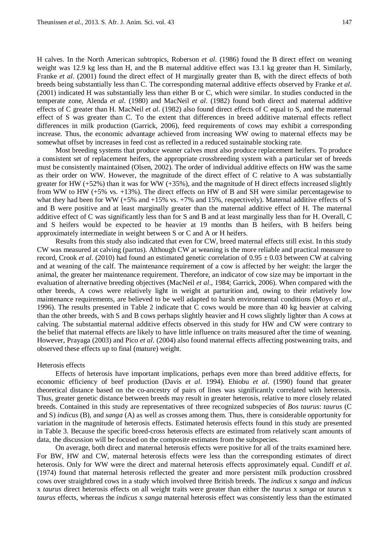H calves. In the North American subtropics, Roberson *et al*. (1986) found the B direct effect on weaning weight was 12.9 kg less than H, and the B maternal additive effect was 13.1 kg greater than H. Similarly, Franke *et al*. (2001) found the direct effect of H marginally greater than B, with the direct effects of both breeds being substantially less than C. The corresponding maternal additive effects observed by Franke *et al*. (2001) indicated H was substantially less than either B or C, which were similar. In studies conducted in the temperate zone, Alenda *et al*. (1980) and MacNeil *et al*. (1982) found both direct and maternal additive effects of C greater than H. MacNeil *et al*. (1982) also found direct effects of C equal to S, and the maternal effect of S was greater than C. To the extent that differences in breed additive maternal effects reflect differences in milk production (Garrick, 2006), feed requirements of cows may exhibit a corresponding increase. Thus, the economic advantage achieved from increasing WW owing to maternal effects may be somewhat offset by increases in feed cost as reflected in a reduced sustainable stocking rate.

Most breeding systems that produce weaner calves must also produce replacement heifers. To produce a consistent set of replacement heifers, the appropriate crossbreeding system with a particular set of breeds must be consistently maintained (Olsen, 2002). The order of individual additive effects on HW was the same as their order on WW. However, the magnitude of the direct effect of C relative to A was substantially greater for HW  $(+52%)$  than it was for WW  $(+35%)$ , and the magnitude of H direct effects increased slightly from WW to HW (+5% vs. +13%). The direct effects on HW of B and SH were similar percentagewise to what they had been for WW (+5% and +15% vs. +7% and 15%, respectively). Maternal additive effects of S and B were positive and at least marginally greater than the maternal additive effect of H. The maternal additive effect of C was significantly less than for S and B and at least marginally less than for H. Overall, C and S heifers would be expected to be heavier at 19 months than B heifers, with B heifers being approximately intermediate in weight between S or C and A or H heifers.

Results from this study also indicated that even for CW, breed maternal effects still exist. In this study CW was measured at calving (partus). Although CW at weaning is the more reliable and practical measure to record, Crook *et al*. (2010) had found an estimated genetic correlation of 0.95 ± 0.03 between CW at calving and at weaning of the calf. The maintenance requirement of a cow is affected by her weight: the larger the animal, the greater her maintenance requirement. Therefore, an indicator of cow size may be important in the evaluation of alternative breeding objectives (MacNeil *et al*., 1984; Garrick, 2006). When compared with the other breeds, A cows were relatively light in weight at parturition and, owing to their relatively low maintenance requirements, are believed to be well adapted to harsh environmental conditions (Moyo *et al*., 1996). The results presented in Table 2 indicate that C cows would be more than 40 kg heavier at calving than the other breeds, with S and B cows perhaps slightly heavier and H cows slightly lighter than A cows at calving. The substantial maternal additive effects observed in this study for HW and CW were contrary to the belief that maternal effects are likely to have little influence on traits measured after the time of weaning. However, Prayaga (2003) and Pico *et al*. (2004) also found maternal effects affecting postweaning traits, and observed these effects up to final (mature) weight.

#### Heterosis effects

Effects of heterosis have important implications, perhaps even more than breed additive effects, for economic efficiency of beef production (Davis *et al*. 1994). Ehiobu *et al*. (1990) found that greater theoretical distance based on the co-ancestry of pairs of lines was significantly correlated with heterosis. Thus, greater genetic distance between breeds may result in greater heterosis, relative to more closely related breeds. Contained in this study are representatives of three recognized subspecies of *Bos taurus*: *taurus* (C and S) *indicus* (B), and *sanga* (A) as well as crosses among them. Thus, there is considerable opportunity for variation in the magnitude of heterosis effects. Estimated heterosis effects found in this study are presented in Table 3. Because the specific breed-cross heterosis effects are estimated from relatively scant amounts of data, the discussion will be focused on the composite estimates from the subspecies.

On average, both direct and maternal heterosis effects were positive for all of the traits examined here. For BW, HW and CW, maternal heterosis effects were less than the corresponding estimates of direct heterosis. Only for WW were the direct and maternal heterosis effects approximately equal. Cundiff *et al*. (1974) found that maternal heterosis reflected the greater and more persistent milk production crossbred cows over straightbred cows in a study which involved three British breeds. The *indicus* x *sanga* and *indicus* x *taurus* direct heterosis effects on all weight traits were greater than either the *taurus* x *sanga* or *taurus* x *taurus* effects, whereas the *indicus* x *sanga* maternal heterosis effect was consistently less than the estimated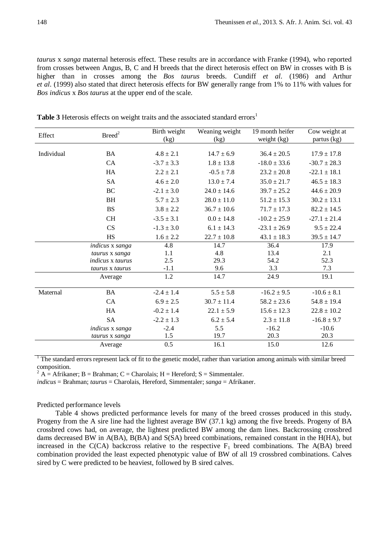*taurus* x *sanga* maternal heterosis effect. These results are in accordance with Franke (1994), who reported from crosses between Angus, B, C and H breeds that the direct heterosis effect on BW in crosses with B is higher than in crosses among the *Bos taurus* breeds. Cundiff *et al*. (1986) and Arthur *et al*. (1999) also stated that direct heterosis effects for BW generally range from 1% to 11% with values for *Bos indicus* x *Bos taurus* at the upper end of the scale.

| Effect     | Breed <sup>2</sup>      |                | Weaning weight<br>(kg) | 19 month heifer<br>weight (kg) | Cow weight at<br>partus (kg) |
|------------|-------------------------|----------------|------------------------|--------------------------------|------------------------------|
|            |                         | (kg)           |                        |                                |                              |
| Individual | <b>BA</b>               |                | $14.7 \pm 6.9$         | $36.4 \pm 20.5$                | $17.9 \pm 17.8$              |
|            | CA                      | $-3.7 \pm 3.3$ | $1.8 \pm 13.8$         | $-18.0 \pm 33.6$               | $-30.7 \pm 28.3$             |
|            | HA                      | $2.2 \pm 2.1$  | $-0.5 \pm 7.8$         | $23.2 \pm 20.8$                | $-22.1 \pm 18.1$             |
|            | <b>SA</b>               | $4.6 \pm 2.0$  | $13.0 \pm 7.4$         | $35.0 \pm 21.7$                | $46.5 \pm 18.3$              |
|            | BC                      | $-2.1 \pm 3.0$ | $24.0 \pm 14.6$        | $39.7 \pm 25.2$                | $44.6 \pm 20.9$              |
|            | <b>BH</b>               | $5.7 \pm 2.3$  | $28.0 \pm 11.0$        | $51.2 \pm 15.3$                | $30.2 \pm 13.1$              |
|            | <b>BS</b>               | $3.8 \pm 2.2$  | $36.7 \pm 10.6$        | $71.7 \pm 17.3$                | $82.2 \pm 14.5$              |
|            | <b>CH</b>               | $-3.5 \pm 3.1$ | $0.0 \pm 14.8$         | $-10.2 \pm 25.9$               | $-27.1 \pm 21.4$             |
|            | CS                      | $-1.3 \pm 3.0$ | $6.1 \pm 14.3$         | $-23.1 \pm 26.9$               | $9.5 \pm 22.4$               |
|            | <b>HS</b>               | $1.6 \pm 2.2$  | $22.7 \pm 10.8$        | $43.1 \pm 18.3$                | $39.5 \pm 14.7$              |
|            | indicus x sanga         | 4.8            | 14.7                   | 36.4                           | 17.9                         |
|            | taurus x sanga          | 1.1            | 4.8                    | 13.4                           | 2.1                          |
|            | <i>indicus x taurus</i> | 2.5            | 29.3                   | 54.2                           | 52.3                         |
|            | taurus x taurus         | $-1.1$         | 9.6                    | 3.3                            | 7.3                          |
|            | Average                 | 1.2            | 14.7                   | 24.9                           | 19.1                         |
| Maternal   | <b>BA</b>               | $-2.4 \pm 1.4$ | $5.5 \pm 5.8$          | $-16.2 \pm 9.5$                | $-10.6 \pm 8.1$              |
|            | CA                      | $6.9 \pm 2.5$  | $30.7 \pm 11.4$        | $58.2 \pm 23.6$                | $54.8 \pm 19.4$              |
|            | HA                      | $-0.2 \pm 1.4$ | $22.1 \pm 5.9$         | $15.6 \pm 12.3$                | $22.8 \pm 10.2$              |
|            | <b>SA</b>               | $-2.2 \pm 1.3$ | $6.2 \pm 5.4$          | $2.3 \pm 11.8$                 | $-16.8 \pm 9.7$              |
|            | indicus x sanga         | $-2.4$         | 5.5                    | $-16.2$                        | $-10.6$                      |
|            | taurus x sanga          | 1.5            | 19.7                   | 20.3                           | 20.3                         |
|            | Average                 | 0.5            | 16.1                   | 15.0                           | 12.6                         |

**Table 3** Heterosis effects on weight traits and the associated standard errors<sup>1</sup>

<sup>1</sup> The standard errors represent lack of fit to the genetic model, rather than variation among animals with similar breed composition.<br>
<sup>2</sup> A = Afrikaner; B = Brahman; C = Charolais; H = Hereford; S = Simmentaler.

*indicus* = Brahman; *taurus* = Charolais, Hereford, Simmentaler; *sanga* = Afrikaner.

#### Predicted performance levels

Table 4 shows predicted performance levels for many of the breed crosses produced in this study**.** Progeny from the A sire line had the lightest average BW (37.1 kg) among the five breeds. Progeny of BA crossbred cows had, on average, the lightest predicted BW among the dam lines. Backcrossing crossbred dams decreased BW in A(BA), B(BA) and S(SA) breed combinations, remained constant in the H(HA), but increased in the C(CA) backcross relative to the respective  $F_1$  breed combinations. The A(BA) breed combination provided the least expected phenotypic value of BW of all 19 crossbred combinations. Calves sired by C were predicted to be heaviest, followed by B sired calves.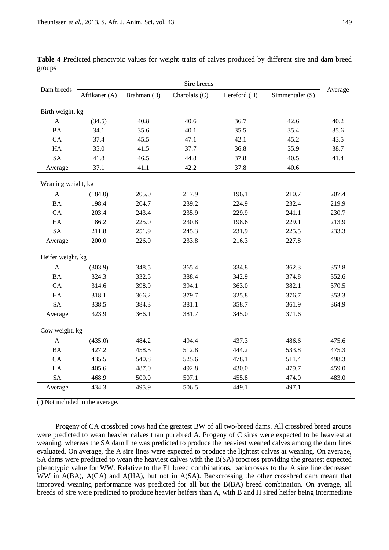| Dam breeds                | Sire breeds        |             |               |              |                 |         |
|---------------------------|--------------------|-------------|---------------|--------------|-----------------|---------|
|                           | Afrikaner (A)      | Brahman (B) | Charolais (C) | Hereford (H) | Simmentaler (S) | Average |
| Birth weight, kg          |                    |             |               |              |                 |         |
| A                         | (34.5)             | 40.8        | 40.6          | 36.7         | 42.6            | 40.2    |
| <b>BA</b>                 | 34.1               | 35.6        | 40.1          | 35.5         | 35.4            | 35.6    |
| CA                        | 37.4               | 45.5        | 47.1          | 42.1         | 45.2            | 43.5    |
| HA                        | 35.0               | 41.5        | 37.7          | 36.8         | 35.9            | 38.7    |
| <b>SA</b>                 | 41.8               | 46.5        | 44.8          | 37.8         | 40.5            | 41.4    |
| Average                   | 37.1               | 41.1        | 42.2          | 37.8         | 40.6            |         |
|                           | Weaning weight, kg |             |               |              |                 |         |
| $\boldsymbol{\mathsf{A}}$ | (184.0)            | 205.0       | 217.9         | 196.1        | 210.7           | 207.4   |
| <b>BA</b>                 | 198.4              | 204.7       | 239.2         | 224.9        | 232.4           | 219.9   |
| CA                        | 203.4              | 243.4       | 235.9         | 229.9        | 241.1           | 230.7   |
| HA                        | 186.2              | 225.0       | 230.8         | 198.6        | 229.1           | 213.9   |
| <b>SA</b>                 | 211.8              | 251.9       | 245.3         | 231.9        | 225.5           | 233.3   |
| Average                   | 200.0              | 226.0       | 233.8         | 216.3        | 227.8           |         |
| Heifer weight, kg         |                    |             |               |              |                 |         |
| $\mathbf{A}$              | (303.9)            | 348.5       | 365.4         | 334.8        | 362.3           | 352.8   |
| <b>BA</b>                 | 324.3              | 332.5       | 388.4         | 342.9        | 374.8           | 352.6   |
| CA                        | 314.6              | 398.9       | 394.1         | 363.0        | 382.1           | 370.5   |
| HA                        | 318.1              | 366.2       | 379.7         | 325.8        | 376.7           | 353.3   |
| <b>SA</b>                 | 338.5              | 384.3       | 381.1         | 358.7        | 361.9           | 364.9   |
| Average                   | 323.9              | 366.1       | 381.7         | 345.0        | 371.6           |         |
| Cow weight, kg            |                    |             |               |              |                 |         |
| $\mathbf{A}$              | (435.0)            | 484.2       | 494.4         | 437.3        | 486.6           | 475.6   |
| <b>BA</b>                 | 427.2              | 458.5       | 512.8         | 444.2        | 533.8           | 475.3   |
| CA                        | 435.5              | 540.8       | 525.6         | 478.1        | 511.4           | 498.3   |
| HA                        | 405.6              | 487.0       | 492.8         | 430.0        | 479.7           | 459.0   |
| <b>SA</b>                 | 468.9              | 509.0       | 507.1         | 455.8        | 474.0           | 483.0   |
| Average                   | 434.3              | 495.9       | 506.5         | 449.1        | 497.1           |         |

**Table 4** Predicted phenotypic values for weight traits of calves produced by different sire and dam breed groups

**( )** Not included in the average.

Progeny of CA crossbred cows had the greatest BW of all two-breed dams. All crossbred breed groups were predicted to wean heavier calves than purebred A. Progeny of C sires were expected to be heaviest at weaning, whereas the SA dam line was predicted to produce the heaviest weaned calves among the dam lines evaluated. On average, the A sire lines were expected to produce the lightest calves at weaning. On average, SA dams were predicted to wean the heaviest calves with the B(SA) topcross providing the greatest expected phenotypic value for WW. Relative to the F1 breed combinations, backcrosses to the A sire line decreased WW in A(BA), A(CA) and A(HA), but not in A(SA). Backcrossing the other crossbred dam meant that improved weaning performance was predicted for all but the B(BA) breed combination. On average, all breeds of sire were predicted to produce heavier heifers than A, with B and H sired heifer being intermediate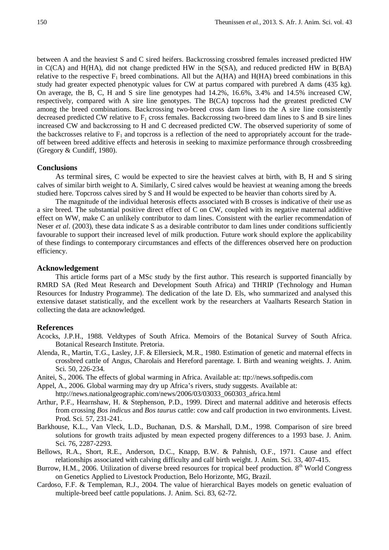between A and the heaviest S and C sired heifers. Backcrossing crossbred females increased predicted HW in C(CA) and H(HA), did not change predicted HW in the S(SA), and reduced predicted HW in B(BA) relative to the respective  $F_1$  breed combinations. All but the  $A(HA)$  and  $H(HA)$  breed combinations in this study had greater expected phenotypic values for CW at partus compared with purebred A dams (435 kg). On average, the B, C, H and S sire line genotypes had 14.2%, 16.6%, 3.4% and 14.5% increased CW, respectively, compared with A sire line genotypes. The B(CA) topcross had the greatest predicted CW among the breed combinations. Backcrossing two-breed cross dam lines to the A sire line consistently decreased predicted CW relative to  $F_1$  cross females. Backcrossing two-breed dam lines to S and B sire lines increased CW and backcrossing to H and C decreased predicted CW. The observed superiority of some of the backcrosses relative to  $F_1$  and topcross is a reflection of the need to appropriately account for the tradeoff between breed additive effects and heterosis in seeking to maximize performance through crossbreeding (Gregory & Cundiff, 1980).

# **Conclusions**

As terminal sires, C would be expected to sire the heaviest calves at birth, with B, H and S siring calves of similar birth weight to A. Similarly, C sired calves would be heaviest at weaning among the breeds studied here. Topcross calves sired by S and H would be expected to be heavier than cohorts sired by A.

The magnitude of the individual heterosis effects associated with B crosses is indicative of their use as a sire breed. The substantial positive direct effect of C on CW, coupled with its negative maternal additive effect on WW, make C an unlikely contributor to dam lines. Consistent with the earlier recommendation of Neser *et al.* (2003), these data indicate S as a desirable contributor to dam lines under conditions sufficiently favourable to support their increased level of milk production. Future work should explore the applicability of these findings to contemporary circumstances and effects of the differences observed here on production efficiency.

# **Acknowledgement**

This article forms part of a MSc study by the first author. This research is supported financially by RMRD SA (Red Meat Research and Development South Africa) and THRIP (Technology and Human Resources for Industry Programme). The dedication of the late D. Els, who summarized and analysed this extensive dataset statistically, and the excellent work by the researchers at Vaalharts Research Station in collecting the data are acknowledged.

### **References**

- Acocks, J.P.H., 1988. Veldtypes of South Africa. Memoirs of the Botanical Survey of South Africa. Botanical Research Institute. Pretoria.
- Alenda, R., Martin, T.G., Lasley, J.F. & Ellersieck, M.R., 1980. Estimation of genetic and maternal effects in crossbred cattle of Angus, Charolais and Hereford parentage. I. Birth and weaning weights. J. Anim. Sci. 50, 226-234.
- Anitei, S., 2006. The effects of global warming in Africa. Available at: ttp://news.softpedis.com
- Appel, A., 2006. Global warming may dry up Africa's rivers, study suggests. Available at: http://news.nationalgeographic.com/news/2006/03/03033\_060303\_africa.html
- Arthur, P.F., Hearnshaw, H. & Stephenson, P.D., 1999. Direct and maternal additive and heterosis effects from crossing *Bos indicus* and *Bos taurus* cattle: cow and calf production in two environments. Livest. Prod. Sci. 57, 231-241.
- Barkhouse, K.L., Van Vleck, L.D., Buchanan, D.S. & Marshall, D.M., 1998. Comparison of sire breed solutions for growth traits adjusted by mean expected progeny differences to a 1993 base. J. Anim. Sci. 76, 2287-2293.
- Bellows, R.A., Short, R.E., Anderson, D.C., Knapp, B.W. & Pahnish, O.F., 1971. Cause and effect relationships associated with calving difficulty and calf birth weight. J. Anim. Sci. 33, 407-415.
- Burrow, H.M., 2006. Utilization of diverse breed resources for tropical beef production. 8<sup>th</sup> World Congress on Genetics Applied to Livestock Production, Belo Horizonte, MG, Brazil.
- Cardoso, F.F. & Templeman, R.J., 2004. The value of hierarchical Bayes models on genetic evaluation of multiple-breed beef cattle populations. J. Anim. Sci. 83, 62-72.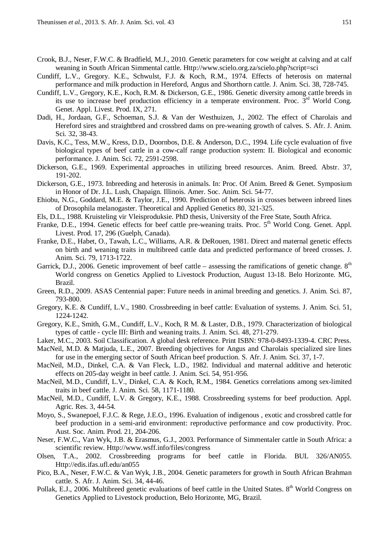- Crook, B.J., Neser, F.W.C. & Bradfield, M.J., 2010. Genetic parameters for cow weight at calving and at calf weaning in South African Simmental cattle. [Http://www.scielo.org.za/scielo.php?script=sci](http://www.scielo.org.za/scielo.php?script=sci)
- Cundiff, L.V., Gregory. K.E., Schwulst, F.J. & Koch, R.M., 1974. Effects of heterosis on maternal performance and milk production in Hereford, Angus and Shorthorn cattle. J. Anim. Sci. 38, 728-745.
- Cundiff, L.V., Gregory, K.E., Koch, R.M. & Dickerson, G.E., 1986. Genetic diversity among cattle breeds in its use to increase beef production efficiency in a temperate environment. Proc.  $3<sup>rd</sup>$  World Cong. Genet. Appl. Livest. Prod. IX, 271.
- Dadi, H., Jordaan, G.F., Schoeman, S.J. & Van der Westhuizen, J., 2002. The effect of Charolais and Hereford sires and straightbred and crossbred dams on pre-weaning growth of calves. S. Afr. J. Anim. Sci. 32, 38-43.
- Davis, K.C., Tess, M.W., Kress, D.D., Doornbos, D.E. & Anderson, D.C., 1994. Life cycle evaluation of five biological types of beef cattle in a cow-calf range production system: II. Biological and economic performance. J. Anim. Sci. 72, 2591-2598.
- Dickerson, G.E., 1969. Experimental approaches in utilizing breed resources. Anim. Breed. Abstr. 37, 191-202.
- Dickerson, G.E., 1973. Inbreeding and heterosis in animals. In: Proc. Of Anim. Breed & Genet. Symposium in Honor of Dr. J.L. Lush, Chapaign. Illinois. Amer. Soc. Anim. Sci. 54-77.
- Ehiobu, N.G., Goddard, M.E. & Taylor, J.E., 1990. Prediction of heterosis in crosses between inbreed lines of Drosophila melanogaster. Theoretical and Applied Genetics 80, 321-325.
- Els, D.L., 1988. Kruisteling vir Vleisproduksie. PhD thesis, University of the Free State, South Africa.
- Franke, D.E., 1994. Genetic effects for beef cattle pre-weaning traits. Proc. 5<sup>th</sup> World Cong. Genet. Appl. Livest. Prod. 17, 296 (Guelph, Canada).
- Franke, D.E., Habet, O., Tawah, L.C., Williams, A.R. & DeRouen, 1981. Direct and maternal genetic effects on birth and weaning traits in multibreed cattle data and predicted performance of breed crosses. J. Anim. Sci. 79, 1713-1722.
- Garrick, D.J., 2006. Genetic improvement of beef cattle assessing the ramifications of genetic change.  $8<sup>th</sup>$ World congress on Genetics Applied to Livestock Production, August 13-18. Belo Horizonte. MG, Brazil.
- Green, R.D., 2009. ASAS Centennial paper: Future needs in animal breeding and genetics. J. Anim. Sci. 87, 793-800.
- Gregory, K.E. & Cundiff, L.V., 1980. Crossbreeding in beef cattle: Evaluation of systems. J. Anim. Sci. 51, 1224-1242.
- Gregory, K.E., Smith, G.M., Cundiff, L.V., Koch, R M. & Laster, D.B., 1979. Characterization of biological types of cattle - cycle III: Birth and weaning traits. J. Anim. Sci. 48, 271-279.
- Laker, M.C., 2003. Soil Classification. A global desk reference. Print ISBN: 978-0-8493-1339-4. CRC Press.
- MacNeil, M.D. & Matjuda, L.E., 2007. Breeding objectives for Angus and Charolais specialized sire lines for use in the emerging sector of South African beef production. S. Afr. J. Anim. Sci. 37, 1-7.
- MacNeil, M.D., Dinkel, C.A. & Van Fleck, L.D., 1982. Individual and maternal additive and heterotic effects on 205-day weight in beef cattle. J. Anim. Sci. 54, 951-956.
- MacNeil, M.D., Cundiff, L.V., Dinkel, C.A. & Koch, R.M., 1984. Genetics correlations among sex-limited traits in beef cattle. J. Anim. Sci. 58, 1171-1180.
- MacNeil, M.D., Cundiff, L.V. & Gregory, K.E., 1988. Crossbreeding systems for beef production. Appl. Agric. Res. 3, 44-54.
- Moyo, S., Swanepoel, F.J.C. & Rege, J.E.O., 1996. Evaluation of indigenous , exotic and crossbred cattle for beef production in a semi-arid environment: reproductive performance and cow productivity. Proc. Aust. Soc. Anim. Prod. 21, 204-206.
- Neser, F.W.C., Van Wyk, J.B. & Erasmus, G.J., 2003. Performance of Simmentaler cattle in South Africa: a scientific review. [Http://www.wsff.info/files/congress](http://www.wsff.info/files/congress)
- Olsen, T.A., 2002. Crossbreeding programs for beef cattle in Florida. BUL 326/AN055. [Http://edis.ifas.ufl.edu/an055](http://edis.ifas.ufl.edu/an055)
- Pico, B.A., Neser, F.W.C. & Van Wyk, J.B., 2004. Genetic parameters for growth in South African Brahman cattle. S. Afr. J. Anim. Sci. 34, 44-46.
- Pollak, E.J., 2006. Multibreed genetic evaluations of beef cattle in the United States. 8<sup>th</sup> World Congress on Genetics Applied to Livestock production, Belo Horizonte, MG, Brazil.